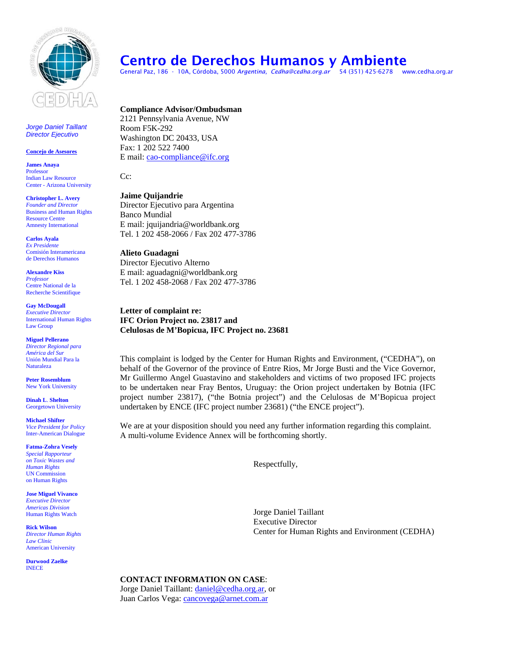

*Jorge Daniel Taillant Director Ejecutivo*

#### **Concejo de Asesores**

**James Anaya**  Professor Indian Law Resource Center - Arizona University

**Christopher L. Avery**  *Founder and Director*  Business and Human Rights Resource Centre Amnesty International

**Carlos Ayala**  *Ex Presidente*  Comisión Interamericana de Derechos Humanos

**Alexandre Kiss**  *Professor*  Centre National de la Recherche Scientifique

**Gay McDougall** *Executive Director*  International Human Rights Law Group

**Miguel Pellerano**  *Director Regional para América del Sur*  Unión Mundial Para la Naturaleza

**Peter Rosemblum** New York University

**Dinah L**. **Shelton** Georgetown University

**Michael Shifter**  *Vice President for Policy*  Inter-American Dialogue

**Fatma-Zohra Vesely**  *Special Rapporteur on Toxic Wastes and Human Rights*  UN Commission on Human Rights

**Jose Miguel Vivanco**  *Executive Director Americas Division*  Human Rights Watch

**Rick Wilson**  *Director Human Rights Law Clinic*  American University

**Durwood Zaelke**  INECE

# Centro de Derechos Humanos y Ambiente

General Paz, 186 - 10A, Córdoba, 5000 *Argentina, [Cedha@cedha.org.ar](mailto:Cedha@yahoo.com)* 54 (351) 425-6278 www.cedha.org.ar

**Compliance Advisor/Ombudsman**  2121 Pennsylvania Avenue, NW Room F5K-292 Washington DC 20433, USA Fax: 1 202 522 7400 E mail: [cao-compliance@ifc.org](mailto:cao-compliance@ifc.org)

Cc:

**Jaime Quijandrie**  Director Ejecutivo para Argentina Banco Mundial E mail: jquijandria@worldbank.org Tel. 1 202 458-2066 / Fax 202 477-3786

**Alieto Guadagni**  Director Ejecutivo Alterno E mail: aguadagni@worldbank.org Tel. 1 202 458-2068 / Fax 202 477-3786

**Letter of complaint re: IFC Orion Project no. 23817 and Celulosas de M'Bopicua, IFC Project no. 23681** 

This complaint is lodged by the Center for Human Rights and Environment, ("CEDHA"), on behalf of the Governor of the province of Entre Rios, Mr Jorge Busti and the Vice Governor, Mr Guillermo Angel Guastavino and stakeholders and victims of two proposed IFC projects to be undertaken near Fray Bentos, Uruguay: the Orion project undertaken by Botnia (IFC project number 23817), ("the Botnia project") and the Celulosas de M'Bopicua project undertaken by ENCE (IFC project number 23681) ("the ENCE project").

We are at your disposition should you need any further information regarding this complaint. A multi-volume Evidence Annex will be forthcoming shortly.

Respectfully,

Jorge Daniel Taillant Executive Director Center for Human Rights and Environment (CEDHA)

# **CONTACT INFORMATION ON CASE**:

Jorge Daniel Taillant: [daniel@cedha.org.ar,](mailto:daniel@cedha.org.ar) or Juan Carlos Vega: [cancovega@arnet.com.ar](http://www.cedha.org.ar/webmail/src/compose.php?send_to=cancovega%40arnet.com.ar)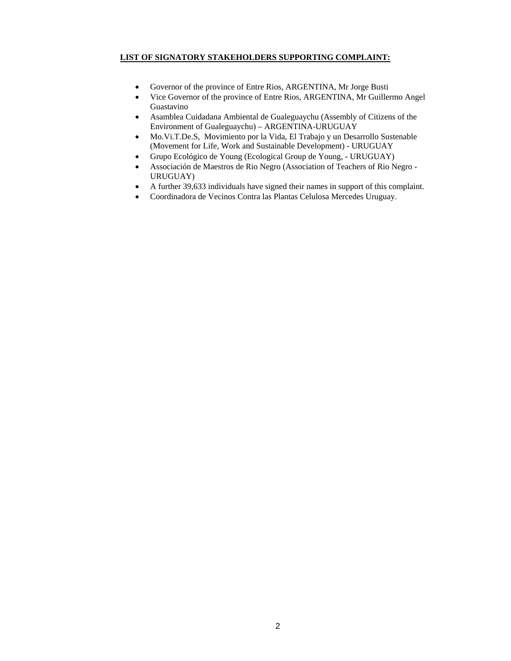# **LIST OF SIGNATORY STAKEHOLDERS SUPPORTING COMPLAINT:**

- Governor of the province of Entre Rios, ARGENTINA, Mr Jorge Busti
- Vice Governor of the province of Entre Rios, ARGENTINA, Mr Guillermo Angel Guastavino
- Asamblea Cuidadana Ambiental de Gualeguaychu (Assembly of Citizens of the Environment of Gualeguaychu) – ARGENTINA-URUGUAY
- Mo.Vi.T.De.S, Movimiento por la Vida, El Trabajo y un Desarrollo Sustenable (Movement for Life, Work and Sustainable Development) - URUGUAY
- Grupo Ecológico de Young (Ecological Group de Young, URUGUAY)
- Associación de Maestros de Rio Negro (Association of Teachers of Rio Negro URUGUAY)
- A further 39,633 individuals have signed their names in support of this complaint.
- Coordinadora de Vecinos Contra las Plantas Celulosa Mercedes Uruguay.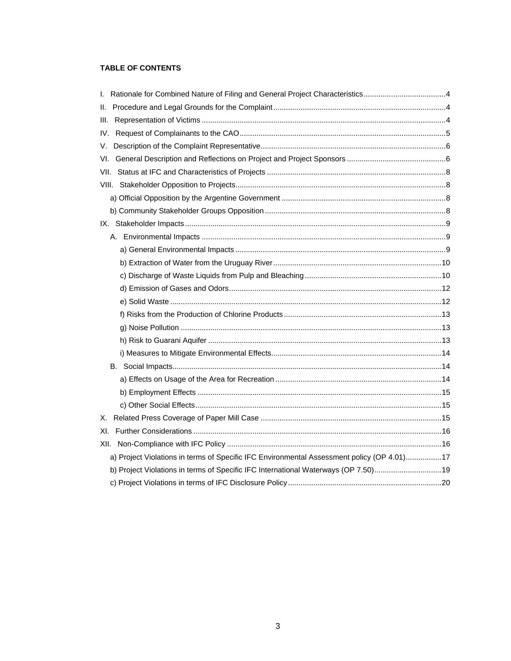# TABLE OF CONTENTS

| Ш.                                                                                         |  |
|--------------------------------------------------------------------------------------------|--|
| III.                                                                                       |  |
| IV.                                                                                        |  |
| V.                                                                                         |  |
|                                                                                            |  |
|                                                                                            |  |
|                                                                                            |  |
|                                                                                            |  |
|                                                                                            |  |
|                                                                                            |  |
|                                                                                            |  |
|                                                                                            |  |
|                                                                                            |  |
|                                                                                            |  |
|                                                                                            |  |
|                                                                                            |  |
|                                                                                            |  |
|                                                                                            |  |
|                                                                                            |  |
|                                                                                            |  |
|                                                                                            |  |
|                                                                                            |  |
|                                                                                            |  |
|                                                                                            |  |
| Х.                                                                                         |  |
| XI.                                                                                        |  |
|                                                                                            |  |
| a) Project Violations in terms of Specific IFC Environmental Assessment policy (OP 4.01)17 |  |
| b) Project Violations in terms of Specific IFC International Waterways (OP 7.50)19         |  |
|                                                                                            |  |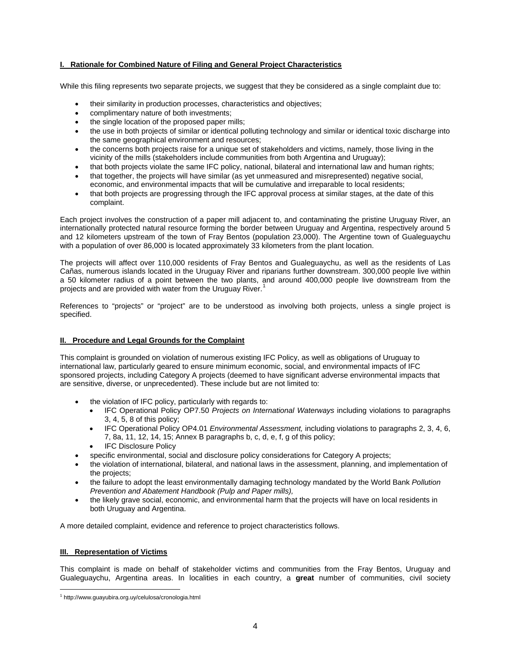# <span id="page-3-0"></span>**I. Rationale for Combined Nature of Filing and General Project Characteristics**

While this filing represents two separate projects, we suggest that they be considered as a single complaint due to:

- their similarity in production processes, characteristics and objectives;
- complimentary nature of both investments;
- the single location of the proposed paper mills;
- the use in both projects of similar or identical polluting technology and similar or identical toxic discharge into the same geographical environment and resources;
- the concerns both projects raise for a unique set of stakeholders and victims, namely, those living in the vicinity of the mills (stakeholders include communities from both Argentina and Uruguay);
- that both projects violate the same IFC policy, national, bilateral and international law and human rights;
- that together, the projects will have similar (as yet unmeasured and misrepresented) negative social, economic, and environmental impacts that will be cumulative and irreparable to local residents;
- that both projects are progressing through the IFC approval process at similar stages, at the date of this complaint.

Each project involves the construction of a paper mill adjacent to, and contaminating the pristine Uruguay River, an internationally protected natural resource forming the border between Uruguay and Argentina, respectively around 5 and 12 kilometers upstream of the town of Fray Bentos (population 23,000). The Argentine town of Gualeguaychu with a population of over 86,000 is located approximately 33 kilometers from the plant location.

The projects will affect over 110,000 residents of Fray Bentos and Gualeguaychu, as well as the residents of Las Cañas, numerous islands located in the Uruguay River and riparians further downstream. 300,000 people live within a 50 kilometer radius of a point between the two plants, and around 400,000 people live downstream from the projects and are provided with water from the Uruguay River.

References to "projects" or "project" are to be understood as involving both projects, unless a single project is specified.

# **II. Procedure and Legal Grounds for the Complaint**

This complaint is grounded on violation of numerous existing IFC Policy, as well as obligations of Uruguay to international law, particularly geared to ensure minimum economic, social, and environmental impacts of IFC sponsored projects, including Category A projects (deemed to have significant adverse environmental impacts that are sensitive, diverse, or unprecedented). These include but are not limited to:

- the violation of IFC policy, particularly with regards to:
	- IFC Operational Policy OP7.50 *Projects on International Waterways* including violations to paragraphs 3, 4, 5, 8 of this policy;
	- IFC Operational Policy OP4.01 *Environmental Assessment,* including violations to paragraphs 2, 3, 4, 6, 7, 8a, 11, 12, 14, 15; Annex B paragraphs b, c, d, e, f, g of this policy;
	- IFC Disclosure Policy
- specific environmental, social and disclosure policy considerations for Category A projects;
- the violation of international, bilateral, and national laws in the assessment, planning, and implementation of the projects;
- the failure to adopt the least environmentally damaging technology mandated by the World Bank *Pollution Prevention and Abatement Handbook (Pulp and Paper mills),*
- the likely grave social, economic, and environmental harm that the projects will have on local residents in both Uruguay and Argentina.

A more detailed complaint, evidence and reference to project characteristics follows.

## **III. Representation of Victims**

This complaint is made on behalf of stakeholder victims and communities from the Fray Bentos, Uruguay and Gualeguaychu, Argentina areas. In localities in each country, a **great** number of communities, civil society

<span id="page-3-1"></span> $\overline{a}$ 1 http://www.guayubira.org.uy/celulosa/cronologia.html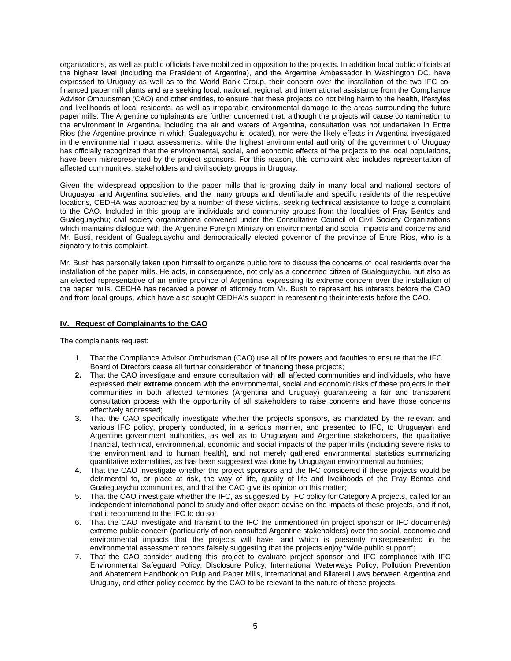<span id="page-4-0"></span>organizations, as well as public officials have mobilized in opposition to the projects. In addition local public officials at the highest level (including the President of Argentina), and the Argentine Ambassador in Washington DC, have expressed to Uruguay as well as to the World Bank Group, their concern over the installation of the two IFC cofinanced paper mill plants and are seeking local, national, regional, and international assistance from the Compliance Advisor Ombudsman (CAO) and other entities, to ensure that these projects do not bring harm to the health, lifestyles and livelihoods of local residents, as well as irreparable environmental damage to the areas surrounding the future paper mills. The Argentine complainants are further concerned that, although the projects will cause contamination to the environment in Argentina, including the air and waters of Argentina, consultation was not undertaken in Entre Rios (the Argentine province in which Gualeguaychu is located), nor were the likely effects in Argentina investigated in the environmental impact assessments, while the highest environmental authority of the government of Uruguay has officially recognized that the environmental, social, and economic effects of the projects to the local populations, have been misrepresented by the project sponsors. For this reason, this complaint also includes representation of affected communities, stakeholders and civil society groups in Uruguay.

Given the widespread opposition to the paper mills that is growing daily in many local and national sectors of Uruguayan and Argentina societies, and the many groups and identifiable and specific residents of the respective locations, CEDHA was approached by a number of these victims, seeking technical assistance to lodge a complaint to the CAO. Included in this group are individuals and community groups from the localities of Fray Bentos and Gualeguaychu; civil society organizations convened under the Consultative Council of Civil Society Organizations which maintains dialogue with the Argentine Foreign Ministry on environmental and social impacts and concerns and Mr. Busti, resident of Gualeguaychu and democratically elected governor of the province of Entre Rios, who is a signatory to this complaint.

Mr. Busti has personally taken upon himself to organize public fora to discuss the concerns of local residents over the installation of the paper mills. He acts, in consequence, not only as a concerned citizen of Gualeguaychu, but also as an elected representative of an entire province of Argentina, expressing its extreme concern over the installation of the paper mills. CEDHA has received a power of attorney from Mr. Busti to represent his interests before the CAO and from local groups, which have also sought CEDHA's support in representing their interests before the CAO.

## **IV. Request of Complainants to the CAO**

The complainants request:

- 1. That the Compliance Advisor Ombudsman (CAO) use all of its powers and faculties to ensure that the IFC Board of Directors cease all further consideration of financing these projects;
- **2.** That the CAO investigate and ensure consultation with **all** affected communities and individuals, who have expressed their **extreme** concern with the environmental, social and economic risks of these projects in their communities in both affected territories (Argentina and Uruguay) guaranteeing a fair and transparent consultation process with the opportunity of all stakeholders to raise concerns and have those concerns effectively addressed;
- **3.** That the CAO specifically investigate whether the projects sponsors, as mandated by the relevant and various IFC policy, properly conducted, in a serious manner, and presented to IFC, to Uruguayan and Argentine government authorities, as well as to Uruguayan and Argentine stakeholders, the qualitative financial, technical, environmental, economic and social impacts of the paper mills (including severe risks to the environment and to human health), and not merely gathered environmental statistics summarizing quantitative externalities, as has been suggested was done by Uruguayan environmental authorities;
- **4.** That the CAO investigate whether the project sponsors and the IFC considered if these projects would be detrimental to, or place at risk, the way of life, quality of life and livelihoods of the Fray Bentos and Gualeguaychu communities, and that the CAO give its opinion on this matter;
- 5. That the CAO investigate whether the IFC, as suggested by IFC policy for Category A projects, called for an independent international panel to study and offer expert advise on the impacts of these projects, and if not, that it recommend to the IFC to do so;
- 6. That the CAO investigate and transmit to the IFC the unmentioned (in project sponsor or IFC documents) extreme public concern (particularly of non-consulted Argentine stakeholders) over the social, economic and environmental impacts that the projects will have, and which is presently misrepresented in the environmental assessment reports falsely suggesting that the projects enjoy "wide public support";
- 7. That the CAO consider auditing this project to evaluate project sponsor and IFC compliance with IFC Environmental Safeguard Policy, Disclosure Policy, International Waterways Policy, Pollution Prevention and Abatement Handbook on Pulp and Paper Mills, International and Bilateral Laws between Argentina and Uruguay, and other policy deemed by the CAO to be relevant to the nature of these projects.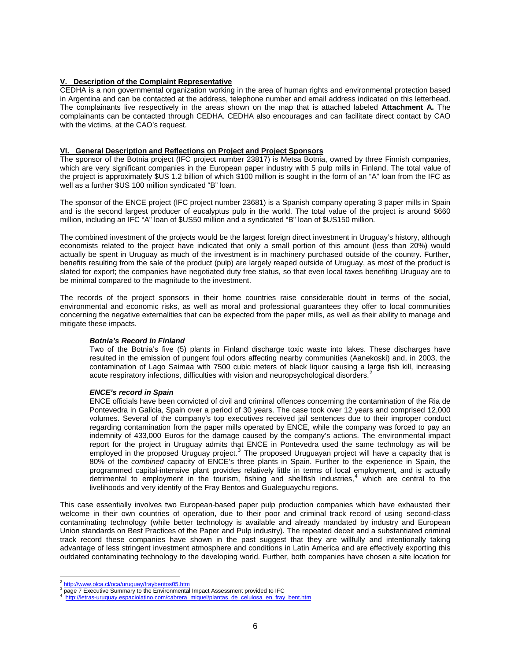## <span id="page-5-0"></span>**V. Description of the Complaint Representative**

CEDHA is a non governmental organization working in the area of human rights and environmental protection based in Argentina and can be contacted at the address, telephone number and email address indicated on this letterhead. The complainants live respectively in the areas shown on the map that is attached labeled **Attachment A.** The complainants can be contacted through CEDHA. CEDHA also encourages and can facilitate direct contact by CAO with the victims, at the CAO's request.

#### **VI. General Description and Reflections on Project and Project Sponsors**

The sponsor of the Botnia project (IFC project number 23817) is Metsa Botnia, owned by three Finnish companies, which are very significant companies in the European paper industry with 5 pulp mills in Finland. The total value of the project is approximately \$US 1.2 billion of which \$100 million is sought in the form of an "A" loan from the IFC as well as a further \$US 100 million syndicated "B" loan.

The sponsor of the ENCE project (IFC project number 23681) is a Spanish company operating 3 paper mills in Spain and is the second largest producer of eucalyptus pulp in the world. The total value of the project is around \$660 million, including an IFC "A" loan of \$US50 million and a syndicated "B" loan of \$US150 million.

The combined investment of the projects would be the largest foreign direct investment in Uruguay's history, although economists related to the project have indicated that only a small portion of this amount (less than 20%) would actually be spent in Uruguay as much of the investment is in machinery purchased outside of the country. Further, benefits resulting from the sale of the product (pulp) are largely reaped outside of Uruguay, as most of the product is slated for export; the companies have negotiated duty free status, so that even local taxes benefiting Uruguay are to be minimal compared to the magnitude to the investment.

The records of the project sponsors in their home countries raise considerable doubt in terms of the social, environmental and economic risks, as well as moral and professional guarantees they offer to local communities concerning the negative externalities that can be expected from the paper mills, as well as their ability to manage and mitigate these impacts.

## *Botnia's Record in Finland*

Two of the Botnia's five (5) plants in Finland discharge toxic waste into lakes. These discharges have resulted in the emission of pungent foul odors affecting nearby communities (Aanekoski) and, in 2003, the contamination of Lago Saimaa with 7500 cubic meters of black liquor causing a large fish kill, increasing acute respiratory infections, difficulties with vision and neuropsychological disorders.<sup>[2](#page-5-1)</sup>

#### *ENCE's record in Spain*

ENCE officials have been convicted of civil and criminal offences concerning the contamination of the Ria de Pontevedra in Galicia, Spain over a period of 30 years. The case took over 12 years and comprised 12,000 volumes. Several of the company's top executives received jail sentences due to their improper conduct regarding contamination from the paper mills operated by ENCE, while the company was forced to pay an indemnity of 433,000 Euros for the damage caused by the company's actions. The environmental impact report for the project in Uruguay admits that ENCE in Pontevedra used the same technology as will be employed in the proposed Uruguay project. $3$  The proposed Uruguayan project will have a capacity that is 80% of the *combined* capacity of ENCE's three plants in Spain. Further to the experience in Spain, the programmed capital-intensive plant provides relatively little in terms of local employment, and is actually detrimental to employment in the tourism, fishing and shellfish industries,<sup>[4](#page-5-3)</sup> which are central to the livelihoods and very identify of the Fray Bentos and Gualeguaychu regions.

This case essentially involves two European-based paper pulp production companies which have exhausted their welcome in their own countries of operation, due to their poor and criminal track record of using second-class contaminating technology (while better technology is available and already mandated by industry and European Union standards on Best Practices of the Paper and Pulp industry). The repeated deceit and a substantiated criminal track record these companies have shown in the past suggest that they are willfully and intentionally taking advantage of less stringent investment atmosphere and conditions in Latin America and are effectively exporting this outdated contaminating technology to the developing world. Further, both companies have chosen a site location for

 $\overline{a}$ <sup>2</sup> <http://www.olca.cl/oca/uruguay/fraybentos05.htm>

<span id="page-5-1"></span> $\frac{3}{3}$  page 7 Executive Summary to the Environmental Impact Assessment provided to IFC  $\frac{4}{3}$  between  $\frac{1}{3}$  and  $\frac{1}{3}$ 

<span id="page-5-3"></span><span id="page-5-2"></span>[http://letras-uruguay.espaciolatino.com/cabrera\\_miguel/plantas\\_de\\_celulosa\\_en\\_fray\\_bent.htm](http://letras-uruguay.espaciolatino.com/cabrera_miguel/plantas_de_celulosa_en_fray_bent.htm)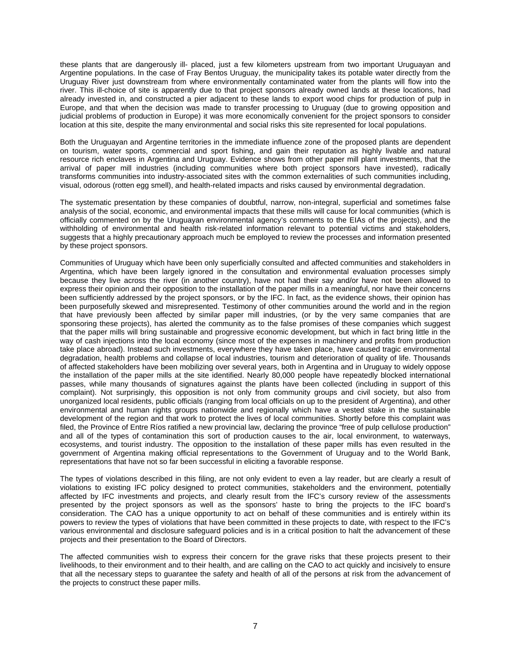these plants that are dangerously ill- placed, just a few kilometers upstream from two important Uruguayan and Argentine populations. In the case of Fray Bentos Uruguay, the municipality takes its potable water directly from the Uruguay River just downstream from where environmentally contaminated water from the plants will flow into the river. This ill-choice of site is apparently due to that project sponsors already owned lands at these locations, had already invested in, and constructed a pier adjacent to these lands to export wood chips for production of pulp in Europe, and that when the decision was made to transfer processing to Uruguay (due to growing opposition and judicial problems of production in Europe) it was more economically convenient for the project sponsors to consider location at this site, despite the many environmental and social risks this site represented for local populations.

Both the Uruguayan and Argentine territories in the immediate influence zone of the proposed plants are dependent on tourism, water sports, commercial and sport fishing, and gain their reputation as highly livable and natural resource rich enclaves in Argentina and Uruguay. Evidence shows from other paper mill plant investments, that the arrival of paper mill industries (including communities where both project sponsors have invested), radically transforms communities into industry-associated sites with the common externalities of such communities including, visual, odorous (rotten egg smell), and health-related impacts and risks caused by environmental degradation.

The systematic presentation by these companies of doubtful, narrow, non-integral, superficial and sometimes false analysis of the social, economic, and environmental impacts that these mills will cause for local communities (which is officially commented on by the Uruguayan environmental agency's comments to the EIAs of the projects), and the withholding of environmental and health risk-related information relevant to potential victims and stakeholders, suggests that a highly precautionary approach much be employed to review the processes and information presented by these project sponsors.

Communities of Uruguay which have been only superficially consulted and affected communities and stakeholders in Argentina, which have been largely ignored in the consultation and environmental evaluation processes simply because they live across the river (in another country), have not had their say and/or have not been allowed to express their opinion and their opposition to the installation of the paper mills in a meaningful, nor have their concerns been sufficiently addressed by the project sponsors, or by the IFC. In fact, as the evidence shows, their opinion has been purposefully skewed and misrepresented. Testimony of other communities around the world and in the region that have previously been affected by similar paper mill industries, (or by the very same companies that are sponsoring these projects), has alerted the community as to the false promises of these companies which suggest that the paper mills will bring sustainable and progressive economic development, but which in fact bring little in the way of cash injections into the local economy (since most of the expenses in machinery and profits from production take place abroad). Instead such investments, everywhere they have taken place, have caused tragic environmental degradation, health problems and collapse of local industries, tourism and deterioration of quality of life. Thousands of affected stakeholders have been mobilizing over several years, both in Argentina and in Uruguay to widely oppose the installation of the paper mills at the site identified. Nearly 80,000 people have repeatedly blocked international passes, while many thousands of signatures against the plants have been collected (including in support of this complaint). Not surprisingly, this opposition is not only from community groups and civil society, but also from unorganized local residents, public officials (ranging from local officials on up to the president of Argentina), and other environmental and human rights groups nationwide and regionally which have a vested stake in the sustainable development of the region and that work to protect the lives of local communities. Shortly before this complaint was filed, the Province of Entre Ríos ratified a new provincial law, declaring the province "free of pulp cellulose production" and all of the types of contamination this sort of production causes to the air, local environment, to waterways, ecosystems, and tourist industry. The opposition to the installation of these paper mills has even resulted in the government of Argentina making official representations to the Government of Uruguay and to the World Bank, representations that have not so far been successful in eliciting a favorable response.

The types of violations described in this filing, are not only evident to even a lay reader, but are clearly a result of violations to existing IFC policy designed to protect communities, stakeholders and the environment, potentially affected by IFC investments and projects, and clearly result from the IFC's cursory review of the assessments presented by the project sponsors as well as the sponsors' haste to bring the projects to the IFC board's consideration. The CAO has a unique opportunity to act on behalf of these communities and is entirely within its powers to review the types of violations that have been committed in these projects to date, with respect to the IFC's various environmental and disclosure safeguard policies and is in a critical position to halt the advancement of these projects and their presentation to the Board of Directors.

The affected communities wish to express their concern for the grave risks that these projects present to their livelihoods, to their environment and to their health, and are calling on the CAO to act quickly and incisively to ensure that all the necessary steps to guarantee the safety and health of all of the persons at risk from the advancement of the projects to construct these paper mills.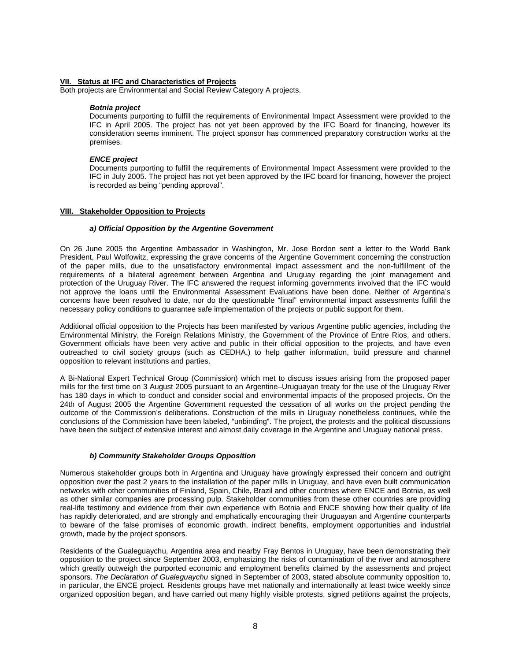#### <span id="page-7-0"></span>**VII. Status at IFC and Characteristics of Projects**

Both projects are Environmental and Social Review Category A projects.

#### *Botnia project*

Documents purporting to fulfill the requirements of Environmental Impact Assessment were provided to the IFC in April 2005. The project has not yet been approved by the IFC Board for financing, however its consideration seems imminent. The project sponsor has commenced preparatory construction works at the premises.

#### *ENCE project*

Documents purporting to fulfill the requirements of Environmental Impact Assessment were provided to the IFC in July 2005. The project has not yet been approved by the IFC board for financing, however the project is recorded as being "pending approval".

#### **VIII. Stakeholder Opposition to Projects**

#### *a) Official Opposition by the Argentine Government*

On 26 June 2005 the Argentine Ambassador in Washington, Mr. Jose Bordon sent a letter to the World Bank President, Paul Wolfowitz, expressing the grave concerns of the Argentine Government concerning the construction of the paper mills, due to the unsatisfactory environmental impact assessment and the non-fulfillment of the requirements of a bilateral agreement between Argentina and Uruguay regarding the joint management and protection of the Uruguay River. The IFC answered the request informing governments involved that the IFC would not approve the loans until the Environmental Assessment Evaluations have been done. Neither of Argentina's concerns have been resolved to date, nor do the questionable "final" environmental impact assessments fulfill the necessary policy conditions to guarantee safe implementation of the projects or public support for them.

Additional official opposition to the Projects has been manifested by various Argentine public agencies, including the Environmental Ministry, the Foreign Relations Ministry, the Government of the Province of Entre Rios, and others. Government officials have been very active and public in their official opposition to the projects, and have even outreached to civil society groups (such as CEDHA,) to help gather information, build pressure and channel opposition to relevant institutions and parties.

A Bi-National Expert Technical Group (Commission) which met to discuss issues arising from the proposed paper mills for the first time on 3 August 2005 pursuant to an Argentine–Uruguayan treaty for the use of the Uruguay River has 180 days in which to conduct and consider social and environmental impacts of the proposed projects. On the 24th of August 2005 the Argentine Government requested the cessation of all works on the project pending the outcome of the Commission's deliberations. Construction of the mills in Uruguay nonetheless continues, while the conclusions of the Commission have been labeled, "unbinding". The project, the protests and the political discussions have been the subject of extensive interest and almost daily coverage in the Argentine and Uruguay national press.

#### *b) Community Stakeholder Groups Opposition*

Numerous stakeholder groups both in Argentina and Uruguay have growingly expressed their concern and outright opposition over the past 2 years to the installation of the paper mills in Uruguay, and have even built communication networks with other communities of Finland, Spain, Chile, Brazil and other countries where ENCE and Botnia, as well as other similar companies are processing pulp. Stakeholder communities from these other countries are providing real-life testimony and evidence from their own experience with Botnia and ENCE showing how their quality of life has rapidly deteriorated, and are strongly and emphatically encouraging their Uruguayan and Argentine counterparts to beware of the false promises of economic growth, indirect benefits, employment opportunities and industrial growth, made by the project sponsors.

Residents of the Gualeguaychu, Argentina area and nearby Fray Bentos in Uruguay, have been demonstrating their opposition to the project since September 2003, emphasizing the risks of contamination of the river and atmosphere which greatly outweigh the purported economic and employment benefits claimed by the assessments and project sponsors. *The Declaration of Gualeguaychu* signed in September of 2003, stated absolute community opposition to, in particular, the ENCE project. Residents groups have met nationally and internationally at least twice weekly since organized opposition began, and have carried out many highly visible protests, signed petitions against the projects,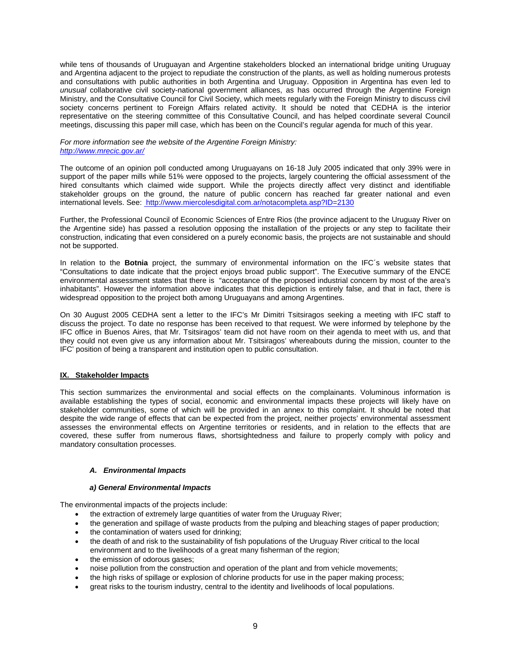<span id="page-8-0"></span>while tens of thousands of Uruguayan and Argentine stakeholders blocked an international bridge uniting Uruguay and Argentina adjacent to the project to repudiate the construction of the plants, as well as holding numerous protests and consultations with public authorities in both Argentina and Uruguay. Opposition in Argentina has even led to *unusual* collaborative civil society-national government alliances, as has occurred through the Argentine Foreign Ministry, and the Consultative Council for Civil Society, which meets regularly with the Foreign Ministry to discuss civil society concerns pertinent to Foreign Affairs related activity. It should be noted that CEDHA is the interior representative on the steering committee of this Consultative Council, and has helped coordinate several Council meetings, discussing this paper mill case, which has been on the Council's regular agenda for much of this year.

#### *For more information see the website of the Argentine Foreign Ministry: <http://www.mrecic.gov.ar/>*

The outcome of an opinion poll conducted among Uruguayans on 16-18 July 2005 indicated that only 39% were in support of the paper mills while 51% were opposed to the projects, largely countering the official assessment of the hired consultants which claimed wide support. While the projects directly affect very distinct and identifiable stakeholder groups on the ground, the nature of public concern has reached far greater national and even international levels. See: [http://www.miercolesdigital.com.ar/notacompleta.asp?ID=2130](http://eco21.com.ar/displayarticle467.html)

Further, the Professional Council of Economic Sciences of Entre Rios (the province adjacent to the Uruguay River on the Argentine side) has passed a resolution opposing the installation of the projects or any step to facilitate their construction, indicating that even considered on a purely economic basis, the projects are not sustainable and should not be supported.

In relation to the **Botnia** project, the summary of environmental information on the IFC´s website states that "Consultations to date indicate that the project enjoys broad public support". The Executive summary of the ENCE environmental assessment states that there is "acceptance of the proposed industrial concern by most of the area's inhabitants". However the information above indicates that this depiction is entirely false, and that in fact, there is widespread opposition to the project both among Uruguayans and among Argentines.

On 30 August 2005 CEDHA sent a letter to the IFC's Mr Dimitri Tsitsiragos seeking a meeting with IFC staff to discuss the project. To date no response has been received to that request. We were informed by telephone by the IFC office in Buenos Aires, that Mr. Tsitsiragos' team did not have room on their agenda to meet with us, and that they could not even give us any information about Mr. Tsitsiragos' whereabouts during the mission, counter to the IFC' position of being a transparent and institution open to public consultation.

## **IX. Stakeholder Impacts**

This section summarizes the environmental and social effects on the complainants. Voluminous information is available establishing the types of social, economic and environmental impacts these projects will likely have on stakeholder communities, some of which will be provided in an annex to this complaint. It should be noted that despite the wide range of effects that can be expected from the project, neither projects' environmental assessment assesses the environmental effects on Argentine territories or residents, and in relation to the effects that are covered, these suffer from numerous flaws, shortsightedness and failure to properly comply with policy and mandatory consultation processes.

## *A. Environmental Impacts*

## *a) General Environmental Impacts*

The environmental impacts of the projects include:

- the extraction of extremely large quantities of water from the Uruguay River;
- the generation and spillage of waste products from the pulping and bleaching stages of paper production;
- the contamination of waters used for drinking;
- the death of and risk to the sustainability of fish populations of the Uruguay River critical to the local environment and to the livelihoods of a great many fisherman of the region;
- the emission of odorous gases;
- noise pollution from the construction and operation of the plant and from vehicle movements;
- the high risks of spillage or explosion of chlorine products for use in the paper making process;
- great risks to the tourism industry, central to the identity and livelihoods of local populations.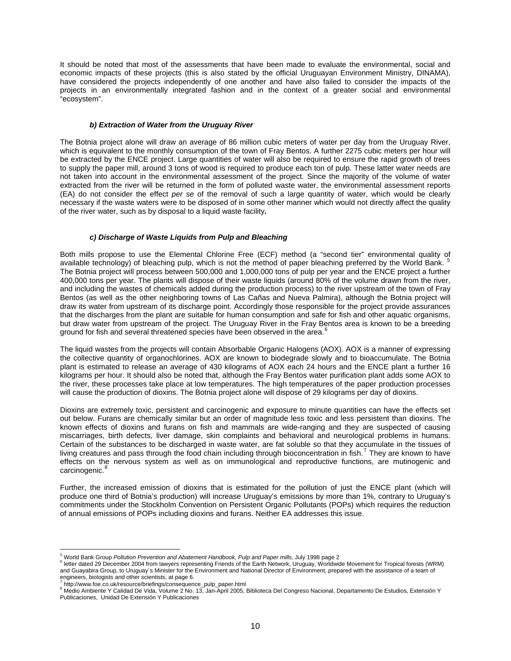<span id="page-9-0"></span>It should be noted that most of the assessments that have been made to evaluate the environmental, social and economic impacts of these projects (this is also stated by the official Uruguayan Environment Ministry, DINAMA), have considered the projects independently of one another and have also failed to consider the impacts of the projects in an environmentally integrated fashion and in the context of a greater social and environmental "ecosystem".

#### *b) Extraction of Water from the Uruguay River*

The Botnia project alone will draw an average of 86 million cubic meters of water per day from the Uruguay River, which is equivalent to the monthly consumption of the town of Fray Bentos. A further 2275 cubic meters per hour will be extracted by the ENCE project. Large quantities of water will also be required to ensure the rapid growth of trees to supply the paper mill, around 3 tons of wood is required to produce each ton of pulp. These latter water needs are not taken into account in the environmental assessment of the project. Since the majority of the volume of water extracted from the river will be returned in the form of polluted waste water, the environmental assessment reports (EA) do not consider the effect *per se* of the removal of such a large quantity of water, which would be clearly necessary if the waste waters were to be disposed of in some other manner which would not directly affect the quality of the river water, such as by disposal to a liquid waste facility**.**

## *c) Discharge of Waste Liquids from Pulp and Bleaching*

Both mills propose to use the Elemental Chlorine Free (ECF) method (a "second tier" environmental quality of available technology) of bleaching pulp, which is not the method of paper bleaching preferred by the World Bank. [5](#page-9-1) The Botnia project will process between 500,000 and 1,000,000 tons of pulp per year and the ENCE project a further 400,000 tons per year. The plants will dispose of their waste liquids (around 80% of the volume drawn from the river, and including the wastes of chemicals added during the production process) to the river upstream of the town of Fray Bentos (as well as the other neighboring towns of Las Cañas and Nueva Palmira), although the Botnia project will draw its water from upstream of its discharge point. Accordingly those responsible for the project provide assurances that the discharges from the plant are suitable for human consumption and safe for fish and other aquatic organisms, but draw water from upstream of the project. The Uruguay River in the Fray Bentos area is known to be a breeding ground for fish and several threatened species have been observed in the area.<sup>[6](#page-9-2)</sup>

The liquid wastes from the projects will contain Absorbable Organic Halogens (AOX). AOX is a manner of expressing the collective quantity of organochlorines. AOX are known to biodegrade slowly and to bioaccumulate. The Botnia plant is estimated to release an average of 430 kilograms of AOX each 24 hours and the ENCE plant a further 16 kilograms per hour. It should also be noted that, although the Fray Bentos water purification plant adds some AOX to the river, these processes take place at low temperatures. The high temperatures of the paper production processes will cause the production of dioxins. The Botnia project alone will dispose of 29 kilograms per day of dioxins.

Dioxins are extremely toxic, persistent and carcinogenic and exposure to minute quantities can have the effects set out below. Furans are chemically similar but an order of magnitude less toxic and less persistent than dioxins. The known effects of dioxins and furans on fish and mammals are wide-ranging and they are suspected of causing miscarriages, birth defects, liver damage, skin complaints and behavioral and neurological problems in humans. Certain of the substances to be discharged in waste water, are fat soluble so that they accumulate in the tissues of living creatures and pass through the food chain including through bioconcentration in fish.<sup>[7](#page-9-3)</sup> They are known to have effects on the nervous system as well as on immunological and reproductive functions, are mutinogenic and carcinogenic.<sup>[8](#page-9-4)</sup>

Further, the increased emission of dioxins that is estimated for the pollution of just the ENCE plant (which will produce one third of Botnia's production) will increase Uruguay's emissions by more than 1%, contrary to Uruguay's commitments under the Stockholm Convention on Persistent Organic Pollutants (POPs) which requires the reduction of annual emissions of POPs including dioxins and furans. Neither EA addresses this issue.

 $\overline{a}$ 

<sup>&</sup>lt;sup>5</sup> World Bank Group *Pollution Prevention and Abatement Handbook, Pulp and Paper mills, July 1998 page 2*<br><sup>6</sup> lotter dated 29 December 2004 from Jouwers representing Friends of the Forth Naturals, Uruguay, Worldwig

<span id="page-9-2"></span><span id="page-9-1"></span>letter dated 29 December 2004 from lawyers representing Friends of the Earth Network, Uruguay, Worldwide Movement for Tropical forests (WRM) and Guayabira Group, to Uruguay´s Minister for the Environment and National Director of Environment, prepared with the assistance of a team of engineers, biologists and other scientists, at page 6.<br><sup>7</sup> http://www.fac.co.uk/resource/briefings/consequent

http://www.foe.co.uk/resource/briefings/consequence\_pulp\_paper.html 8

<span id="page-9-4"></span><span id="page-9-3"></span><sup>&</sup>lt;sup>8</sup> Medio Ambiente Y Calidad De Vida, Volume 2 No. 13, Jan-April 2005, Biblioteca Del Congreso Nacional, Departamento De Estudios, Extensión Y Publicaciones, Unidad De Extensión Y Publicaciones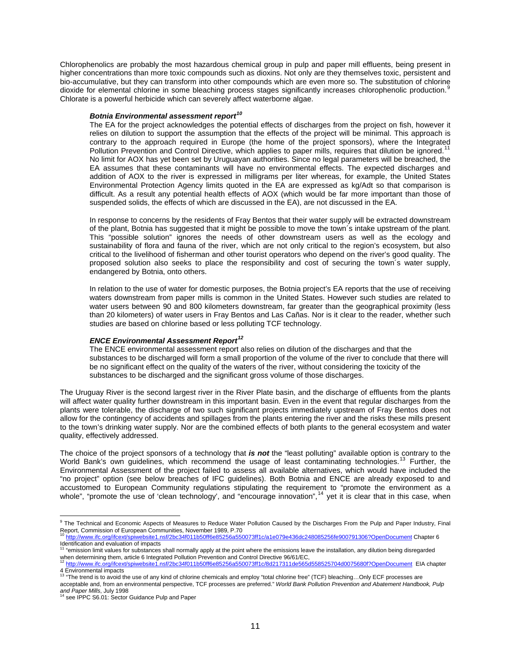Chlorophenolics are probably the most hazardous chemical group in pulp and paper mill effluents, being present in higher concentrations than more toxic compounds such as dioxins. Not only are they themselves toxic, persistent and bio-accumulative, but they can transform into other compounds which are even more so. The substitution of chlorine dioxide for elemental chlorine in some bleaching process stages significantly increases chlorophenolic production.<sup>8</sup> Chlorate is a powerful herbicide which can severely affect waterborne algae.

# *Botnia Environmental assessment report[10](#page-10-1)*

The EA for the project acknowledges the potential effects of discharges from the project on fish, however it relies on dilution to support the assumption that the effects of the project will be minimal. This approach is contrary to the approach required in Europe (the home of the project sponsors), where the Integrated Pollution Prevention and Control Directive, which applies to paper mills, requires that dilution be ignored.<sup>1</sup> No limit for AOX has yet been set by Uruguayan authorities. Since no legal parameters will be breached, the EA assumes that these contaminants will have no environmental effects. The expected discharges and addition of AOX to the river is expressed in milligrams per liter whereas, for example, the United States Environmental Protection Agency limits quoted in the EA are expressed as kg/Adt so that comparison is difficult. As a result any potential health effects of AOX (which would be far more important than those of suspended solids, the effects of which are discussed in the EA), are not discussed in the EA.

In response to concerns by the residents of Fray Bentos that their water supply will be extracted downstream of the plant, Botnia has suggested that it might be possible to move the town´s intake upstream of the plant. This "possible solution" ignores the needs of other downstream users as well as the ecology and sustainability of flora and fauna of the river, which are not only critical to the region's ecosystem, but also critical to the livelihood of fisherman and other tourist operators who depend on the river's good quality. The proposed solution also seeks to place the responsibility and cost of securing the town´s water supply, endangered by Botnia, onto others.

In relation to the use of water for domestic purposes, the Botnia project's EA reports that the use of receiving waters downstream from paper mills is common in the United States. However such studies are related to water users between 90 and 800 kilometers downstream, far greater than the geographical proximity (less than 20 kilometers) of water users in Fray Bentos and Las Cañas. Nor is it clear to the reader, whether such studies are based on chlorine based or less polluting TCF technology.

## *ENCE Environmental Assessment Report[12](#page-10-3)*

The ENCE environmental assessment report also relies on dilution of the discharges and that the substances to be discharged will form a small proportion of the volume of the river to conclude that there will be no significant effect on the quality of the waters of the river, without considering the toxicity of the substances to be discharged and the significant gross volume of those discharges.

The Uruguay River is the second largest river in the River Plate basin, and the discharge of effluents from the plants will affect water quality further downstream in this important basin. Even in the event that regular discharges from the plants were tolerable, the discharge of two such significant projects immediately upstream of Fray Bentos does not allow for the contingency of accidents and spillages from the plants entering the river and the risks these mills present to the town's drinking water supply. Nor are the combined effects of both plants to the general ecosystem and water quality, effectively addressed.

The choice of the project sponsors of a technology that *is not* the "least polluting" available option is contrary to the World Bank's own guidelines, which recommend the usage of least contaminating technologies.<sup>[13](#page-10-4)</sup> Further, the Environmental Assessment of the project failed to assess all available alternatives, which would have included the "no project" option (see below breaches of IFC guidelines). Both Botnia and ENCE are already exposed to and accustomed to European Community regulations stipulating the requirement to "promote the environment as a whole", "promote the use of 'clean technology', and "encourage innovation",  $14$  yet it is clear that in this case, when

<span id="page-10-0"></span> 9 The Technical and Economic Aspects of Measures to Reduce Water Pollution Caused by the Discharges From the Pulp and Paper Industry, Final Report, Commission of European Communities, November 1989, P.70<br><sup>10</sup> http://www.ifc.org/ifcext/spiwebsite1.nsf/2bc34f011b50ff6e85256e555 <sup>10</sup> <http://www.ifc.org/ifcext/spiwebsite1.nsf/2bc34f011b50ff6e85256a550073ff1c/a1e079e436dc248085256fe900791306?OpenDocument>Chapter 6

<span id="page-10-1"></span>Identification and evaluation of impacts

<span id="page-10-2"></span><sup>&</sup>lt;sup>11</sup> "emission limit values for substances shall normally apply at the point where the emissions leave the installation, any dilution being disregarded when determining them, article 6 Integrated Pollution Prevention and C

<span id="page-10-3"></span><http://www.ifc.org/ifcext/spiwebsite1.nsf/2bc34f011b50ff6e85256a550073ff1c/8d217311de565d558525704d0075680f?OpenDocument> EIA chapter 4 Environmental impacts<br><sup>13</sup> "The trend is to avoid the use of any kind of chlorine chemicals and employ "total chlorine free" (TCF) bleaching…Only ECF processes are

<span id="page-10-5"></span><span id="page-10-4"></span>acceptable and, from an environmental perspective, TCF processes are preferred." *World Bank Pollution Prevention and Abatement Handbook, Pulp*  and Paper Mills, July 1998<br><sup>14</sup> see IPPC S6.01: Sector Guidance Pulp and Paper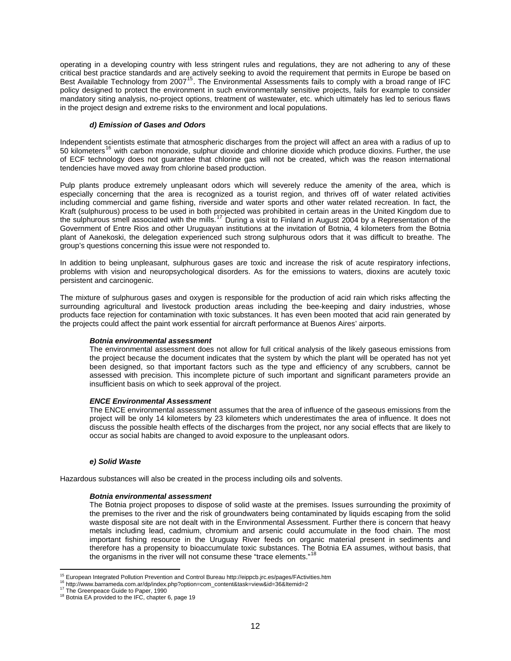<span id="page-11-0"></span>operating in a developing country with less stringent rules and regulations, they are not adhering to any of these critical best practice standards and are actively seeking to avoid the requirement that permits in Europe be based on Best Available Technology from 2007<sup>[15](#page-11-1)</sup>. The Environmental Assessments fails to comply with a broad range of IFC policy designed to protect the environment in such environmentally sensitive projects, fails for example to consider mandatory siting analysis, no-project options, treatment of wastewater, etc. which ultimately has led to serious flaws in the project design and extreme risks to the environment and local populations.

#### *d) Emission of Gases and Odors*

Independent scientists estimate that atmospheric discharges from the project will affect an area with a radius of up to 50 kilometers<sup>[16](#page-11-2)</sup> with carbon monoxide, sulphur dioxide and chlorine dioxide which produce dioxins. Further, the use of ECF technology does not guarantee that chlorine gas will not be created, which was the reason international tendencies have moved away from chlorine based production.

Pulp plants produce extremely unpleasant odors which will severely reduce the amenity of the area, which is especially concerning that the area is recognized as a tourist region, and thrives off of water related activities including commercial and game fishing, riverside and water sports and other water related recreation. In fact, the Kraft (sulphurous) process to be used in both projected was prohibited in certain areas in the United Kingdom due to the sulphurous smell associated with the mills.<sup>[17](#page-11-3)</sup> During a visit to Finland in August 2004 by a Representation of the Government of Entre Rios and other Uruguayan institutions at the invitation of Botnia, 4 kilometers from the Botnia plant of Aanekoski, the delegation experienced such strong sulphurous odors that it was difficult to breathe. The group's questions concerning this issue were not responded to.

In addition to being unpleasant, sulphurous gases are toxic and increase the risk of acute respiratory infections, problems with vision and neuropsychological disorders. As for the emissions to waters, dioxins are acutely toxic persistent and carcinogenic.

The mixture of sulphurous gases and oxygen is responsible for the production of acid rain which risks affecting the surrounding agricultural and livestock production areas including the bee-keeping and dairy industries, whose products face rejection for contamination with toxic substances. It has even been mooted that acid rain generated by the projects could affect the paint work essential for aircraft performance at Buenos Aires' airports.

## *Botnia environmental assessment*

The environmental assessment does not allow for full critical analysis of the likely gaseous emissions from the project because the document indicates that the system by which the plant will be operated has not yet been designed, so that important factors such as the type and efficiency of any scrubbers, cannot be assessed with precision. This incomplete picture of such important and significant parameters provide an insufficient basis on which to seek approval of the project.

#### *ENCE Environmental Assessment*

The ENCE environmental assessment assumes that the area of influence of the gaseous emissions from the project will be only 14 kilometers by 23 kilometers which underestimates the area of influence. It does not discuss the possible health effects of the discharges from the project, nor any social effects that are likely to occur as social habits are changed to avoid exposure to the unpleasant odors.

#### *e) Solid Waste*

Hazardous substances will also be created in the process including oils and solvents.

#### *Botnia environmental assessment*

The Botnia project proposes to dispose of solid waste at the premises. Issues surrounding the proximity of the premises to the river and the risk of groundwaters being contaminated by liquids escaping from the solid waste disposal site are not dealt with in the Environmental Assessment. Further there is concern that heavy metals including lead, cadmium, chromium and arsenic could accumulate in the food chain. The most important fishing resource in the Uruguay River feeds on organic material present in sediments and therefore has a propensity to bioaccumulate toxic substances. The Botnia EA assumes, without basis, that the organisms in the river will not consume these "trace elements."<sup>[18](#page-11-4)</sup>

 $\overline{a}$ 

<span id="page-11-2"></span><span id="page-11-1"></span><sup>&</sup>lt;sup>15</sup> European Integrated Pollution Prevention and Control Bureau http://eippcb.jrc.es/pages/FActivities.htm<br><sup>16</sup> http://www.barrameda.com.ar/dp/index.php?option=com\_content&task=view&id=36&Itemid=2<br><sup>17</sup> The Greenpeace Gui

<span id="page-11-4"></span><span id="page-11-3"></span>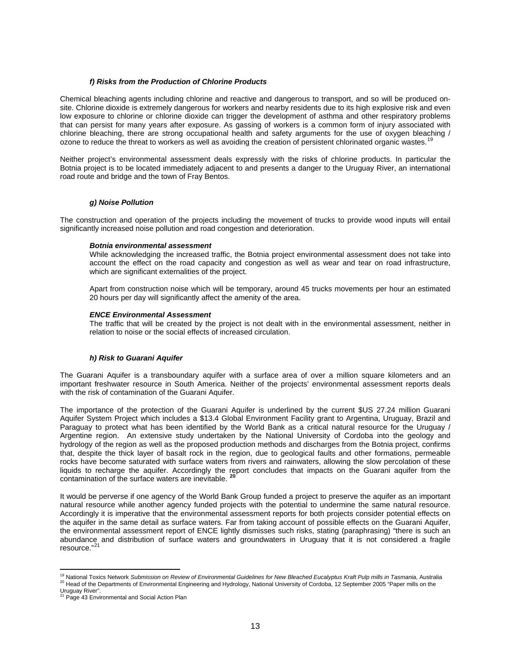#### *f) Risks from the Production of Chlorine Products*

<span id="page-12-0"></span>Chemical bleaching agents including chlorine and reactive and dangerous to transport, and so will be produced onsite. Chlorine dioxide is extremely dangerous for workers and nearby residents due to its high explosive risk and even low exposure to chlorine or chlorine dioxide can trigger the development of asthma and other respiratory problems that can persist for many years after exposure. As gassing of workers is a common form of injury associated with chlorine bleaching, there are strong occupational health and safety arguments for the use of oxygen bleaching / ozone to reduce the threat to workers as well as avoiding the creation of persistent chlorinated organic wastes.

Neither project's environmental assessment deals expressly with the risks of chlorine products. In particular the Botnia project is to be located immediately adjacent to and presents a danger to the Uruguay River, an international road route and bridge and the town of Fray Bentos.

## *g) Noise Pollution*

The construction and operation of the projects including the movement of trucks to provide wood inputs will entail significantly increased noise pollution and road congestion and deterioration.

#### *Botnia environmental assessment*

While acknowledging the increased traffic, the Botnia project environmental assessment does not take into account the effect on the road capacity and congestion as well as wear and tear on road infrastructure, which are significant externalities of the project.

Apart from construction noise which will be temporary, around 45 trucks movements per hour an estimated 20 hours per day will significantly affect the amenity of the area.

#### *ENCE Environmental Assessment*

The traffic that will be created by the project is not dealt with in the environmental assessment, neither in relation to noise or the social effects of increased circulation.

## *h) Risk to Guarani Aquifer*

The Guarani Aquifer is a transboundary aquifer with a surface area of over a million square kilometers and an important freshwater resource in South America. Neither of the projects' environmental assessment reports deals with the risk of contamination of the Guarani Aquifer.

The importance of the protection of the Guarani Aquifer is underlined by the current \$US 27.24 million Guarani Aquifer System Project which includes a \$13.4 Global Environment Facility grant to Argentina, Uruguay, Brazil and Paraguay to protect what has been identified by the World Bank as a critical natural resource for the Uruguay / Argentine region. An extensive study undertaken by the National University of Cordoba into the geology and hydrology of the region as well as the proposed production methods and discharges from the Botnia project, confirms that, despite the thick layer of basalt rock in the region, due to geological faults and other formations, permeable rocks have become saturated with surface waters from rivers and rainwaters, allowing the slow percolation of these liquids to recharge the aquifer. Accordingly the report concludes that impacts on the Guarani aquifer from the contamination of the surface waters are inevitable. **[20](#page-12-2)**

It would be perverse if one agency of the World Bank Group funded a project to preserve the aquifer as an important natural resource while another agency funded projects with the potential to undermine the same natural resource. Accordingly it is imperative that the environmental assessment reports for both projects consider potential effects on the aquifer in the same detail as surface waters. Far from taking account of possible effects on the Guarani Aquifer, the environmental assessment report of ENCE lightly dismisses such risks, stating (paraphrasing) "there is such an abundance and distribution of surface waters and groundwaters in Uruguay that it is not considered a fragile resource."[21](#page-12-3)

 $\overline{a}$ 

<span id="page-12-2"></span><span id="page-12-1"></span><sup>&</sup>lt;sup>19</sup> National Toxics Network *Submission on Review of Environmental Guidelines for New Bleached Eucalyptus Kraft Pulp mills in Tasmania, Australia<br><sup>20</sup> Head of the Departments of Environmental Engineering and Hydrology, Na* 

<span id="page-12-3"></span>Uruguay River".<br><sup>21</sup> Page 43 Environmental and Social Action Plan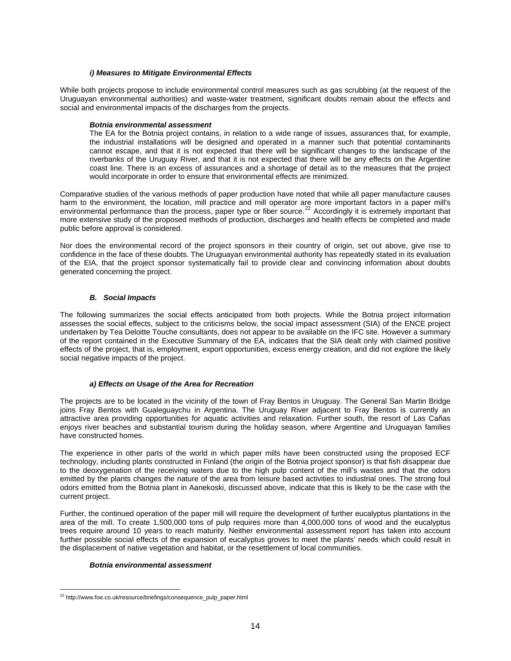## *i) Measures to Mitigate Environmental Effects*

<span id="page-13-0"></span>While both projects propose to include environmental control measures such as gas scrubbing (at the request of the Uruguayan environmental authorities) and waste-water treatment, significant doubts remain about the effects and social and environmental impacts of the discharges from the projects.

#### *Botnia environmental assessment*

The EA for the Botnia project contains, in relation to a wide range of issues, assurances that, for example, the industrial installations will be designed and operated in a manner such that potential contaminants cannot escape, and that it is not expected that there will be significant changes to the landscape of the riverbanks of the Uruguay River, and that it is not expected that there will be any effects on the Argentine coast line. There is an excess of assurances and a shortage of detail as to the measures that the project would incorporate in order to ensure that environmental effects are minimized.

Comparative studies of the various methods of paper production have noted that while all paper manufacture causes harm to the environment, the location, mill practice and mill operator are more important factors in a paper mill's environmental performance than the process, paper type or fiber source.<sup>[22](#page-13-1)</sup> Accordingly it is extremely important that more extensive study of the proposed methods of production, discharges and health effects be completed and made public before approval is considered.

Nor does the environmental record of the project sponsors in their country of origin, set out above, give rise to confidence in the face of these doubts. The Uruguayan environmental authority has repeatedly stated in its evaluation of the EIA, that the project sponsor systematically fail to provide clear and convincing information about doubts generated concerning the project.

## *B. Social Impacts*

The following summarizes the social effects anticipated from both projects. While the Botnia project information assesses the social effects, subject to the criticisms below, the social impact assessment (SIA) of the ENCE project undertaken by Tea Deloitte Touche consultants, does not appear to be available on the IFC site. However a summary of the report contained in the Executive Summary of the EA, indicates that the SIA dealt only with claimed positive effects of the project, that is, employment, export opportunities, excess energy creation, and did not explore the likely social negative impacts of the project.

## *a) Effects on Usage of the Area for Recreation*

The projects are to be located in the vicinity of the town of Fray Bentos in Uruguay. The General San Martin Bridge joins Fray Bentos with Gualeguaychu in Argentina. The Uruguay River adjacent to Fray Bentos is currently an attractive area providing opportunities for aquatic activities and relaxation. Further south, the resort of Las Cañas enjoys river beaches and substantial tourism during the holiday season, where Argentine and Uruguayan families have constructed homes.

The experience in other parts of the world in which paper mills have been constructed using the proposed ECF technology, including plants constructed in Finland (the origin of the Botnia project sponsor) is that fish disappear due to the deoxygenation of the receiving waters due to the high pulp content of the mill's wastes and that the odors emitted by the plants changes the nature of the area from leisure based activities to industrial ones. The strong foul odors emitted from the Botnia plant in Aanekoski, discussed above, indicate that this is likely to be the case with the current project.

Further, the continued operation of the paper mill will require the development of further eucalyptus plantations in the area of the mill. To create 1,500,000 tons of pulp requires more than 4,000,000 tons of wood and the eucalyptus trees require around 10 years to reach maturity. Neither environmental assessment report has taken into account further possible social effects of the expansion of eucalyptus groves to meet the plants' needs which could result in the displacement of native vegetation and habitat, or the resettlement of local communities.

## *Botnia environmental assessment*

<span id="page-13-1"></span> $\overline{a}$ <sup>22</sup> http://www.foe.co.uk/resource/briefings/consequence\_pulp\_paper.html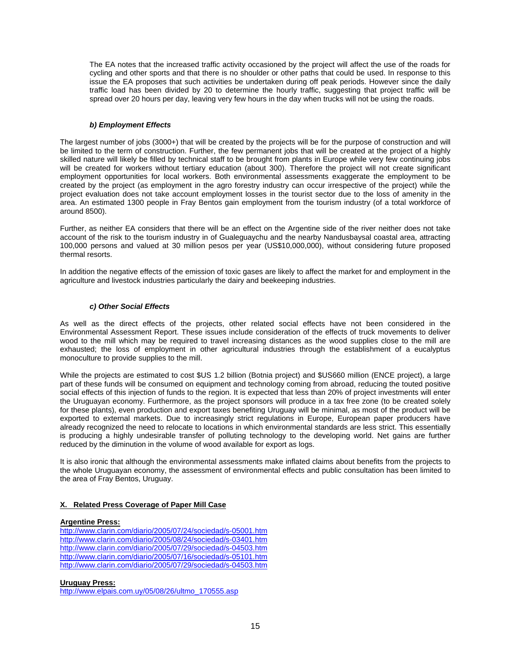<span id="page-14-0"></span>The EA notes that the increased traffic activity occasioned by the project will affect the use of the roads for cycling and other sports and that there is no shoulder or other paths that could be used. In response to this issue the EA proposes that such activities be undertaken during off peak periods. However since the daily traffic load has been divided by 20 to determine the hourly traffic, suggesting that project traffic will be spread over 20 hours per day, leaving very few hours in the day when trucks will not be using the roads.

#### *b) Employment Effects*

The largest number of jobs (3000+) that will be created by the projects will be for the purpose of construction and will be limited to the term of construction. Further, the few permanent jobs that will be created at the project of a highly skilled nature will likely be filled by technical staff to be brought from plants in Europe while very few continuing jobs will be created for workers without tertiary education (about 300). Therefore the project will not create significant employment opportunities for local workers. Both environmental assessments exaggerate the employment to be created by the project (as employment in the agro forestry industry can occur irrespective of the project) while the project evaluation does not take account employment losses in the tourist sector due to the loss of amenity in the area. An estimated 1300 people in Fray Bentos gain employment from the tourism industry (of a total workforce of around 8500).

Further, as neither EA considers that there will be an effect on the Argentine side of the river neither does not take account of the risk to the tourism industry in of Gualeguaychu and the nearby Nandusbaysal coastal area, attracting 100,000 persons and valued at 30 million pesos per year (US\$10,000,000), without considering future proposed thermal resorts.

In addition the negative effects of the emission of toxic gases are likely to affect the market for and employment in the agriculture and livestock industries particularly the dairy and beekeeping industries.

## *c) Other Social Effects*

As well as the direct effects of the projects, other related social effects have not been considered in the Environmental Assessment Report. These issues include consideration of the effects of truck movements to deliver wood to the mill which may be required to travel increasing distances as the wood supplies close to the mill are exhausted; the loss of employment in other agricultural industries through the establishment of a eucalyptus monoculture to provide supplies to the mill.

While the projects are estimated to cost \$US 1.2 billion (Botnia project) and \$US660 million (ENCE project), a large part of these funds will be consumed on equipment and technology coming from abroad, reducing the touted positive social effects of this injection of funds to the region. It is expected that less than 20% of project investments will enter the Uruguayan economy. Furthermore, as the project sponsors will produce in a tax free zone (to be created solely for these plants), even production and export taxes benefiting Uruguay will be minimal, as most of the product will be exported to external markets. Due to increasingly strict regulations in Europe, European paper producers have already recognized the need to relocate to locations in which environmental standards are less strict. This essentially is producing a highly undesirable transfer of polluting technology to the developing world. Net gains are further reduced by the diminution in the volume of wood available for export as logs.

It is also ironic that although the environmental assessments make inflated claims about benefits from the projects to the whole Uruguayan economy, the assessment of environmental effects and public consultation has been limited to the area of Fray Bentos, Uruguay.

## **X. Related Press Coverage of Paper Mill Case**

## **Argentine Press:**

<http://www.clarin.com/diario/2005/07/24/sociedad/s-05001.htm> <http://www.clarin.com/diario/2005/08/24/sociedad/s-03401.htm> <http://www.clarin.com/diario/2005/07/29/sociedad/s-04503.htm> <http://www.clarin.com/diario/2005/07/16/sociedad/s-05101.htm> <http://www.clarin.com/diario/2005/07/29/sociedad/s-04503.htm>

## **Uruguay Press:**

[http://www.elpais.com.uy/05/08/26/ultmo\\_170555.asp](http://www.elpais.com.uy/05/08/26/ultmo_170555.asp)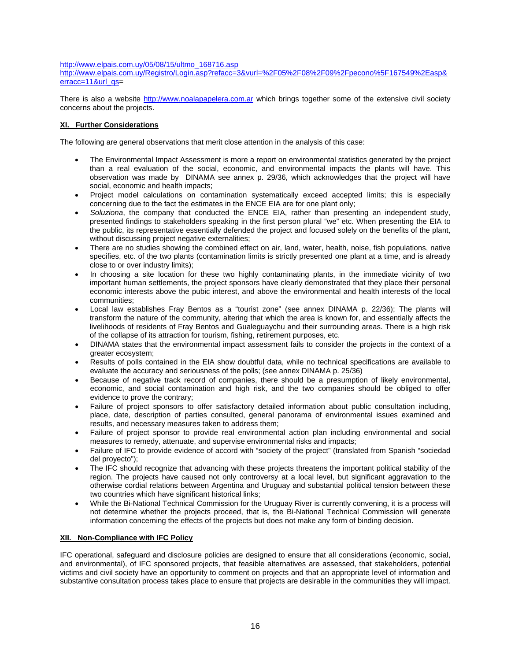<span id="page-15-0"></span>[http://www.elpais.com.uy/05/08/15/ultmo\\_168716.asp](http://www.elpais.com.uy/05/08/15/ultmo_168716.asp)

[http://www.elpais.com.uy/Registro/Login.asp?refacc=3&vurl=%2F05%2F08%2F09%2Fpecono%5F167549%2Easp&](http://www.elpais.com.uy/Registro/Login.asp?refacc=3&vurl=%2F05%2F08%2F09%2Fpecono%5F167549%2Easp&erracc=11&url_qs) [erracc=11&url\\_qs=](http://www.elpais.com.uy/Registro/Login.asp?refacc=3&vurl=%2F05%2F08%2F09%2Fpecono%5F167549%2Easp&erracc=11&url_qs)

There is also a website [http://www.noalapapelera.com.ar](http://www.noalapapelera.com.ar/) which brings together some of the extensive civil society concerns about the projects.

## **XI. Further Considerations**

The following are general observations that merit close attention in the analysis of this case:

- The Environmental Impact Assessment is more a report on environmental statistics generated by the project than a real evaluation of the social, economic, and environmental impacts the plants will have. This observation was made by DINAMA see annex p. 29/36, which acknowledges that the project will have social, economic and health impacts;
- Project model calculations on contamination systematically exceed accepted limits; this is especially concerning due to the fact the estimates in the ENCE EIA are for one plant only;
- *Soluziona*, the company that conducted the ENCE EIA, rather than presenting an independent study, presented findings to stakeholders speaking in the first person plural "we" etc. When presenting the EIA to the public, its representative essentially defended the project and focused solely on the benefits of the plant, without discussing project negative externalities;
- There are no studies showing the combined effect on air, land, water, health, noise, fish populations, native specifies, etc. of the two plants (contamination limits is strictly presented one plant at a time, and is already close to or over industry limits);
- In choosing a site location for these two highly contaminating plants, in the immediate vicinity of two important human settlements, the project sponsors have clearly demonstrated that they place their personal economic interests above the pubic interest, and above the environmental and health interests of the local communities;
- Local law establishes Fray Bentos as a "tourist zone" (see annex DINAMA p. 22/36); The plants will transform the nature of the community, altering that which the area is known for, and essentially affects the livelihoods of residents of Fray Bentos and Gualeguaychu and their surrounding areas. There is a high risk of the collapse of its attraction for tourism, fishing, retirement purposes, etc.
- DINAMA states that the environmental impact assessment fails to consider the projects in the context of a greater ecosystem;
- Results of polls contained in the EIA show doubtful data, while no technical specifications are available to evaluate the accuracy and seriousness of the polls; (see annex DINAMA p. 25/36)
- Because of negative track record of companies, there should be a presumption of likely environmental, economic, and social contamination and high risk, and the two companies should be obliged to offer evidence to prove the contrary;
- Failure of project sponsors to offer satisfactory detailed information about public consultation including, place, date, description of parties consulted, general panorama of environmental issues examined and results, and necessary measures taken to address them;
- Failure of project sponsor to provide real environmental action plan including environmental and social measures to remedy, attenuate, and supervise environmental risks and impacts;
- Failure of IFC to provide evidence of accord with "society of the project" (translated from Spanish "sociedad del proyecto");
- The IFC should recognize that advancing with these projects threatens the important political stability of the region. The projects have caused not only controversy at a local level, but significant aggravation to the otherwise cordial relations between Argentina and Uruguay and substantial political tension between these two countries which have significant historical links;
- While the Bi-National Technical Commission for the Uruguay River is currently convening, it is a process will not determine whether the projects proceed, that is, the Bi-National Technical Commission will generate information concerning the effects of the projects but does not make any form of binding decision.

## **XII. Non-Compliance with IFC Policy**

IFC operational, safeguard and disclosure policies are designed to ensure that all considerations (economic, social, and environmental), of IFC sponsored projects, that feasible alternatives are assessed, that stakeholders, potential victims and civil society have an opportunity to comment on projects and that an appropriate level of information and substantive consultation process takes place to ensure that projects are desirable in the communities they will impact.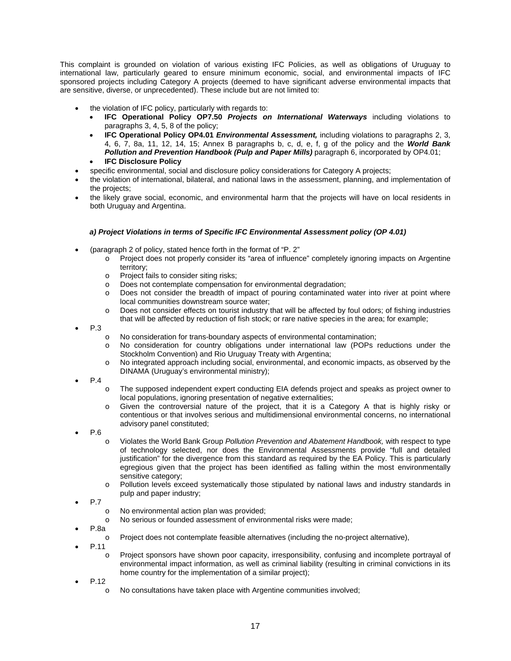<span id="page-16-0"></span>This complaint is grounded on violation of various existing IFC Policies, as well as obligations of Uruguay to international law, particularly geared to ensure minimum economic, social, and environmental impacts of IFC sponsored projects including Category A projects (deemed to have significant adverse environmental impacts that are sensitive, diverse, or unprecedented). These include but are not limited to:

- the violation of IFC policy, particularly with regards to:
	- **IFC Operational Policy OP7.50** *Projects on International Waterways* including violations to paragraphs 3, 4, 5, 8 of the policy;
	- **IFC Operational Policy OP4.01** *Environmental Assessment,* including violations to paragraphs 2, 3, 4, 6, 7, 8a, 11, 12, 14, 15; Annex B paragraphs b, c, d, e, f, g of the policy and the *World Bank Pollution and Prevention Handbook (Pulp and Paper Mills)* paragraph 6, incorporated by OP4.01;
		- **IFC Disclosure Policy**
- specific environmental, social and disclosure policy considerations for Category A projects;
- the violation of international, bilateral, and national laws in the assessment, planning, and implementation of the projects;
- the likely grave social, economic, and environmental harm that the projects will have on local residents in both Uruguay and Argentina.

## *a) Project Violations in terms of Specific IFC Environmental Assessment policy (OP 4.01)*

- (paragraph 2 of policy, stated hence forth in the format of "P. 2"
	- o Project does not properly consider its "area of influence" completely ignoring impacts on Argentine territory;
	- o Project fails to consider siting risks;
	- o Does not contemplate compensation for environmental degradation;
	- o Does not consider the breadth of impact of pouring contaminated water into river at point where local communities downstream source water;
	- o Does not consider effects on tourist industry that will be affected by foul odors; of fishing industries that will be affected by reduction of fish stock; or rare native species in the area; for example;
- P.3
- o No consideration for trans-boundary aspects of environmental contamination;
- o No consideration for country obligations under international law (POPs reductions under the Stockholm Convention) and Rio Uruguay Treaty with Argentina;
- o No integrated approach including social, environmental, and economic impacts, as observed by the DINAMA (Uruguay's environmental ministry);
- P.4
- o The supposed independent expert conducting EIA defends project and speaks as project owner to local populations, ignoring presentation of negative externalities;
- o Given the controversial nature of the project, that it is a Category A that is highly risky or contentious or that involves serious and multidimensional environmental concerns, no international advisory panel constituted;
- P.6
	- o Violates the World Bank Group *Pollution Prevention and Abatement Handbook,* with respect to type of technology selected, nor does the Environmental Assessments provide "full and detailed justification" for the divergence from this standard as required by the EA Policy. This is particularly egregious given that the project has been identified as falling within the most environmentally sensitive category;
	- o Pollution levels exceed systematically those stipulated by national laws and industry standards in pulp and paper industry;
- P.7
- o No environmental action plan was provided;
- o No serious or founded assessment of environmental risks were made;
- P.8a
	- o Project does not contemplate feasible alternatives (including the no-project alternative),
- P.11
	- o Project sponsors have shown poor capacity, irresponsibility, confusing and incomplete portrayal of environmental impact information, as well as criminal liability (resulting in criminal convictions in its home country for the implementation of a similar project);
- P.12
	- o No consultations have taken place with Argentine communities involved;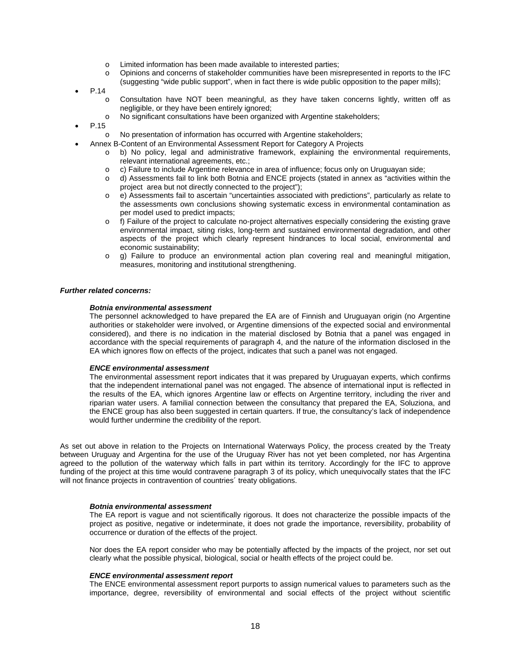- o Limited information has been made available to interested parties;
- o Opinions and concerns of stakeholder communities have been misrepresented in reports to the IFC (suggesting "wide public support", when in fact there is wide public opposition to the paper mills);
- P.14
	- o Consultation have NOT been meaningful, as they have taken concerns lightly, written off as negligible, or they have been entirely ignored;
	- o No significant consultations have been organized with Argentine stakeholders;
- P.15
	- o No presentation of information has occurred with Argentine stakeholders;
- Annex B-Content of an Environmental Assessment Report for Category A Projects
	- o b) No policy, legal and administrative framework, explaining the environmental requirements, relevant international agreements, etc.;
	- o c) Failure to include Argentine relevance in area of influence; focus only on Uruguayan side;
	- o d) Assessments fail to link both Botnia and ENCE projects (stated in annex as "activities within the project area but not directly connected to the project");
	- o e) Assessments fail to ascertain "uncertainties associated with predictions", particularly as relate to the assessments own conclusions showing systematic excess in environmental contamination as per model used to predict impacts;
	- $\circ$  f) Failure of the project to calculate no-project alternatives especially considering the existing grave environmental impact, siting risks, long-term and sustained environmental degradation, and other aspects of the project which clearly represent hindrances to local social, environmental and economic sustainability;
	- o g) Failure to produce an environmental action plan covering real and meaningful mitigation, measures, monitoring and institutional strengthening.

#### *Further related concerns:*

#### *Botnia environmental assessment*

The personnel acknowledged to have prepared the EA are of Finnish and Uruguayan origin (no Argentine authorities or stakeholder were involved, or Argentine dimensions of the expected social and environmental considered), and there is no indication in the material disclosed by Botnia that a panel was engaged in accordance with the special requirements of paragraph 4, and the nature of the information disclosed in the EA which ignores flow on effects of the project, indicates that such a panel was not engaged.

#### *ENCE environmental assessment*

The environmental assessment report indicates that it was prepared by Uruguayan experts, which confirms that the independent international panel was not engaged. The absence of international input is reflected in the results of the EA, which ignores Argentine law or effects on Argentine territory, including the river and riparian water users. A familial connection between the consultancy that prepared the EA, Soluziona, and the ENCE group has also been suggested in certain quarters. If true, the consultancy's lack of independence would further undermine the credibility of the report.

As set out above in relation to the Projects on International Waterways Policy, the process created by the Treaty between Uruguay and Argentina for the use of the Uruguay River has not yet been completed, nor has Argentina agreed to the pollution of the waterway which falls in part within its territory. Accordingly for the IFC to approve funding of the project at this time would contravene paragraph 3 of its policy, which unequivocally states that the IFC will not finance projects in contravention of countries' treaty obligations.

#### *Botnia environmental assessment*

The EA report is vague and not scientifically rigorous. It does not characterize the possible impacts of the project as positive, negative or indeterminate, it does not grade the importance, reversibility, probability of occurrence or duration of the effects of the project.

Nor does the EA report consider who may be potentially affected by the impacts of the project, nor set out clearly what the possible physical, biological, social or health effects of the project could be.

#### *ENCE environmental assessment report*

The ENCE environmental assessment report purports to assign numerical values to parameters such as the importance, degree, reversibility of environmental and social effects of the project without scientific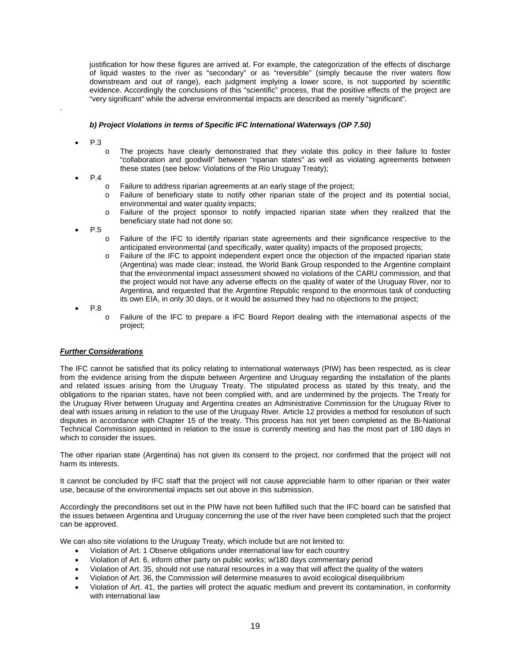<span id="page-18-0"></span>justification for how these figures are arrived at. For example, the categorization of the effects of discharge of liquid wastes to the river as "secondary" or as "reversible" (simply because the river waters flow downstream and out of range), each judgment implying a lower score, is not supported by scientific evidence. Accordingly the conclusions of this "scientific" process, that the positive effects of the project are "very significant" while the adverse environmental impacts are described as merely "significant".

#### *b) Project Violations in terms of Specific IFC International Waterways (OP 7.50)*

• P.3

.

- o The projects have clearly demonstrated that they violate this policy in their failure to foster "collaboration and goodwill" between "riparian states" as well as violating agreements between these states (see below: Violations of the Rio Uruguay Treaty);
- P.4
	- o Failure to address riparian agreements at an early stage of the project;
	- o Failure of beneficiary state to notify other riparian state of the project and its potential social, environmental and water quality impacts;
	- o Failure of the project sponsor to notify impacted riparian state when they realized that the beneficiary state had not done so;
- P.5
	- o Failure of the IFC to identify riparian state agreements and their significance respective to the anticipated environmental (and specifically, water quality) impacts of the proposed projects;
	- o Failure of the IFC to appoint independent expert once the objection of the impacted riparian state (Argentina) was made clear; instead, the World Bank Group responded to the Argentine complaint that the environmental impact assessment showed no violations of the CARU commission, and that the project would not have any adverse effects on the quality of water of the Uruguay River, nor to Argentina, and requested that the Argentine Republic respond to the enormous task of conducting its own EIA, in only 30 days, or it would be assumed they had no objections to the project;

• P.8

o Failure of the IFC to prepare a IFC Board Report dealing with the international aspects of the project;

## *Further Considerations*

The IFC cannot be satisfied that its policy relating to international waterways (PIW) has been respected, as is clear from the evidence arising from the dispute between Argentine and Uruguay regarding the installation of the plants and related issues arising from the Uruguay Treaty. The stipulated process as stated by this treaty, and the obligations to the riparian states, have not been complied with, and are undermined by the projects. The Treaty for the Uruguay River between Uruguay and Argentina creates an Administrative Commission for the Uruguay River to deal with issues arising in relation to the use of the Uruguay River. Article 12 provides a method for resolution of such disputes in accordance with Chapter 15 of the treaty. This process has not yet been completed as the Bi-National Technical Commission appointed in relation to the issue is currently meeting and has the most part of 180 days in which to consider the issues.

The other riparian state (Argentina) has not given its consent to the project, nor confirmed that the project will not harm its interests.

It cannot be concluded by IFC staff that the project will not cause appreciable harm to other riparian or their water use, because of the environmental impacts set out above in this submission.

Accordingly the preconditions set out in the PIW have not been fulfilled such that the IFC board can be satisfied that the issues between Argentina and Uruguay concerning the use of the river have been completed such that the project can be approved.

We can also site violations to the Uruguay Treaty, which include but are not limited to:

- Violation of Art. 1 Observe obligations under international law for each country
- Violation of Art. 6, inform other party on public works; w/180 days commentary period
- Violation of Art. 35, should not use natural resources in a way that will affect the quality of the waters
- Violation of Art. 36, the Commission will determine measures to avoid ecological disequilibrium
- Violation of Art. 41, the parties will protect the aquatic medium and prevent its contamination, in conformity with international law